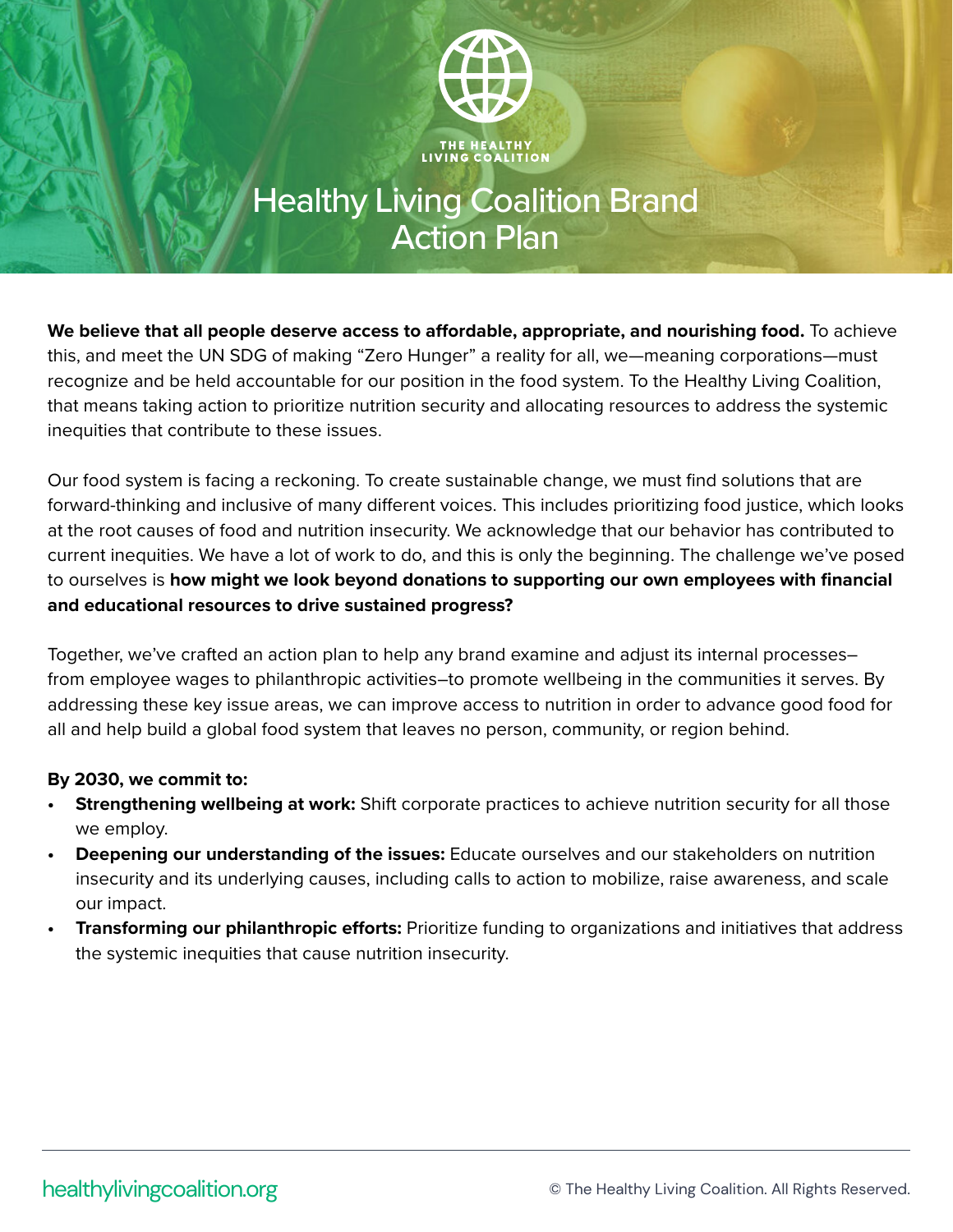

**We believe that all people deserve access to affordable, appropriate, and nourishing food.** To achieve this, and meet the UN SDG of making "Zero Hunger" a reality for all, we—meaning corporations—must recognize and be held accountable for our position in the food system. To the Healthy Living Coalition, that means taking action to prioritize nutrition security and allocating resources to address the systemic inequities that contribute to these issues.

Our food system is facing a reckoning. To create sustainable change, we must find solutions that are forward-thinking and inclusive of many different voices. This includes prioritizing food justice, which looks at the root causes of food and nutrition insecurity. We acknowledge that our behavior has contributed to current inequities. We have a lot of work to do, and this is only the beginning. The challenge we've posed to ourselves is **how might we look beyond donations to supporting our own employees with financial and educational resources to drive sustained progress?**

Together, we've crafted an action plan to help any brand examine and adjust its internal processes– from employee wages to philanthropic activities–to promote wellbeing in the communities it serves. By addressing these key issue areas, we can improve access to nutrition in order to advance good food for all and help build a global food system that leaves no person, community, or region behind.

### **By 2030, we commit to:**

- **Strengthening wellbeing at work:** Shift corporate practices to achieve nutrition security for all those we employ.
- **• Deepening our understanding of the issues:** Educate ourselves and our stakeholders on nutrition insecurity and its underlying causes, including calls to action to mobilize, raise awareness, and scale our impact.
- **• Transforming our philanthropic efforts:** Prioritize funding to organizations and initiatives that address the systemic inequities that cause nutrition insecurity.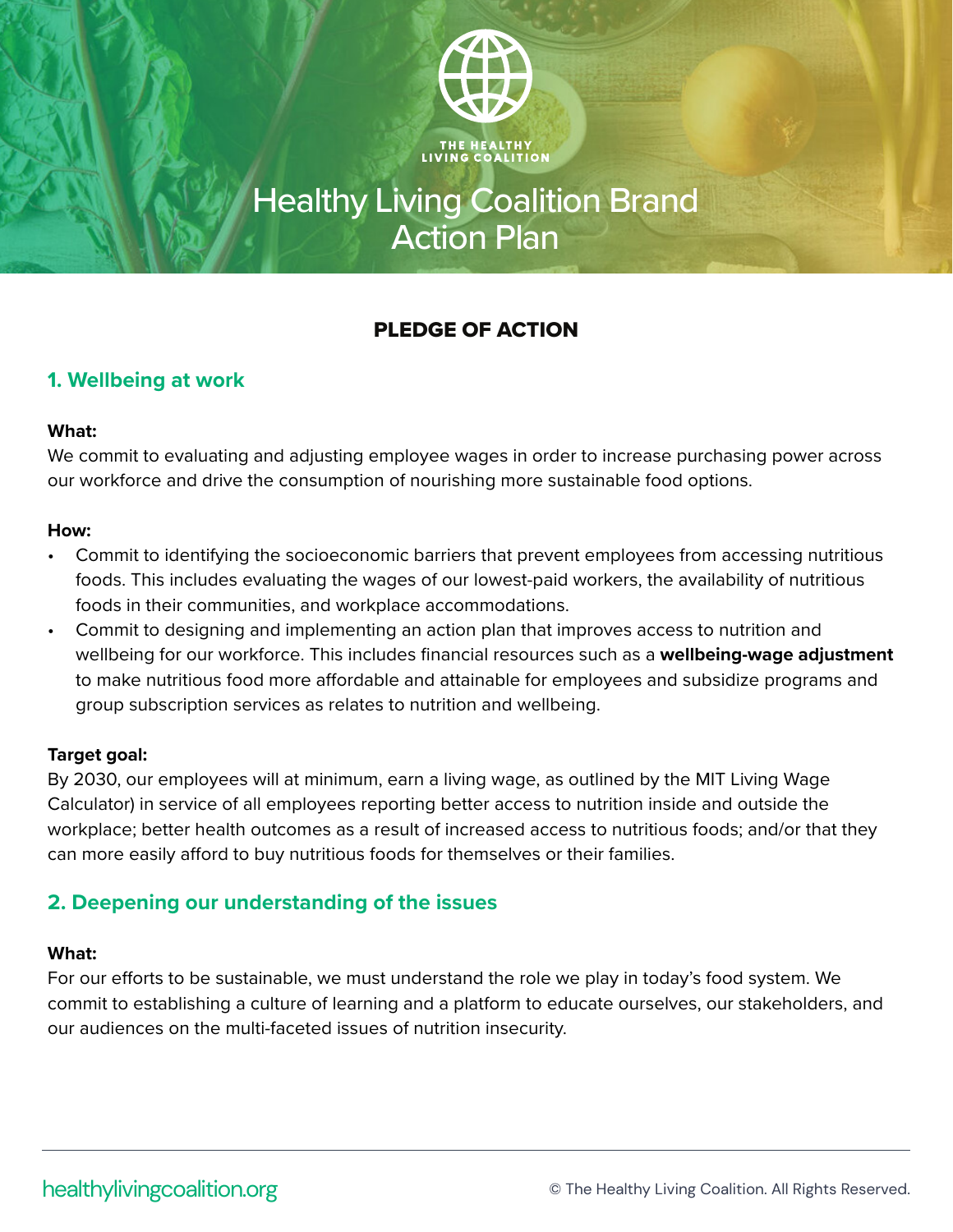

## PLEDGE OF ACTION

## **1. Wellbeing at work**

### **What:**

We commit to evaluating and adjusting employee wages in order to increase purchasing power across our workforce and drive the consumption of nourishing more sustainable food options.

### **How:**

- Commit to identifying the socioeconomic barriers that prevent employees from accessing nutritious foods. This includes evaluating the wages of our lowest-paid workers, the availability of nutritious foods in their communities, and workplace accommodations.
- Commit to designing and implementing an action plan that improves access to nutrition and wellbeing for our workforce. This includes financial resources such as a **wellbeing-wage adjustment** to make nutritious food more affordable and attainable for employees and subsidize programs and group subscription services as relates to nutrition and wellbeing.

### **Target goal:**

By 2030, our employees will at minimum, earn a living wage, as outlined by the MIT Living Wage Calculator) in service of all employees reporting better access to nutrition inside and outside the workplace; better health outcomes as a result of increased access to nutritious foods; and/or that they can more easily afford to buy nutritious foods for themselves or their families.

## **2. Deepening our understanding of the issues**

### **What:**

For our efforts to be sustainable, we must understand the role we play in today's food system. We commit to establishing a culture of learning and a platform to educate ourselves, our stakeholders, and our audiences on the multi-faceted issues of nutrition insecurity.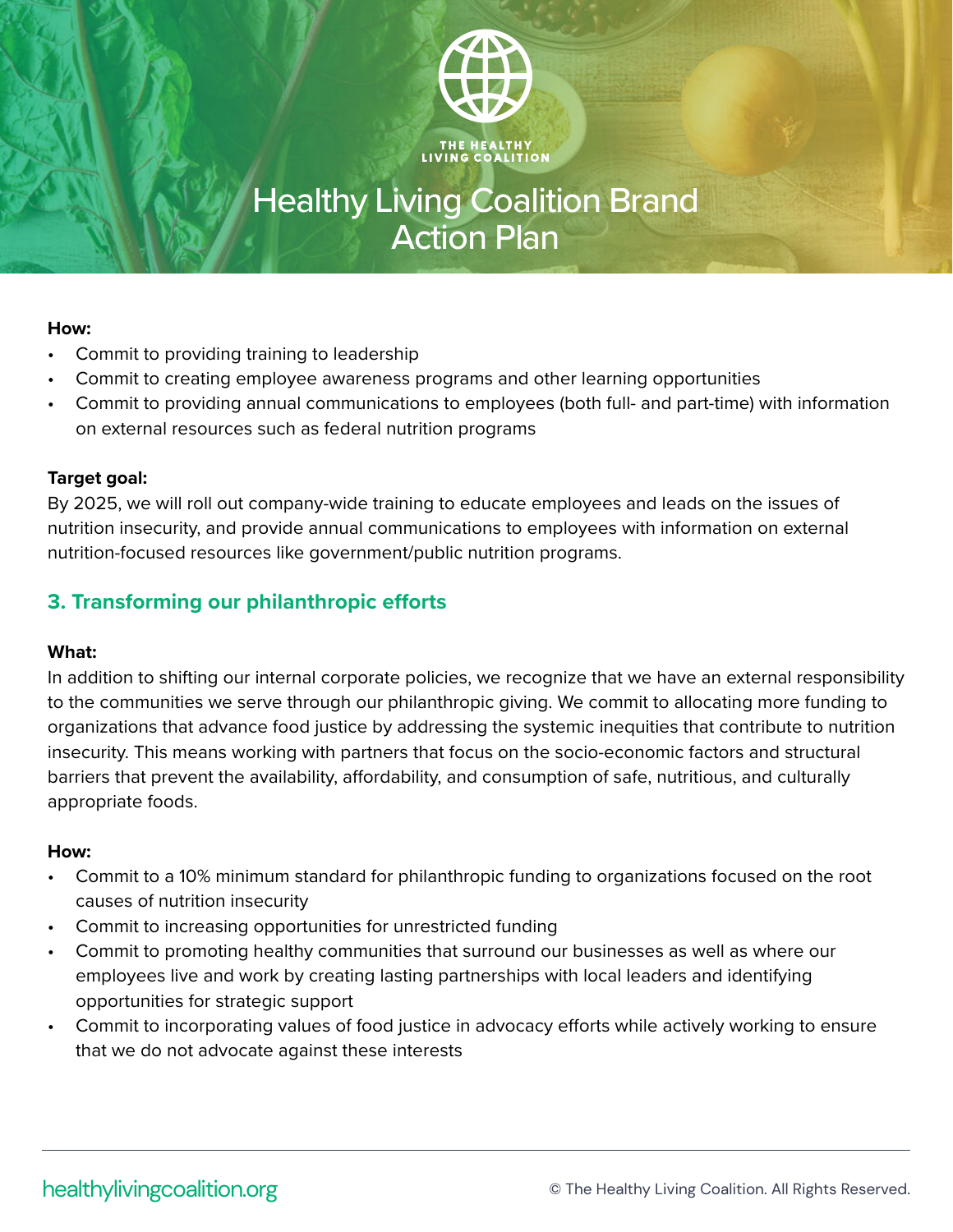

### **How:**

- Commit to providing training to leadership
- Commit to creating employee awareness programs and other learning opportunities
- Commit to providing annual communications to employees (both full- and part-time) with information on external resources such as federal nutrition programs

### **Target goal:**

By 2025, we will roll out company-wide training to educate employees and leads on the issues of nutrition insecurity, and provide annual communications to employees with information on external nutrition-focused resources like government/public nutrition programs.

## **3. Transforming our philanthropic efforts**

### **What:**

In addition to shifting our internal corporate policies, we recognize that we have an external responsibility to the communities we serve through our philanthropic giving. We commit to allocating more funding to organizations that advance food justice by addressing the systemic inequities that contribute to nutrition insecurity. This means working with partners that focus on the socio-economic factors and structural barriers that prevent the availability, affordability, and consumption of safe, nutritious, and culturally appropriate foods.

### **How:**

- Commit to a 10% minimum standard for philanthropic funding to organizations focused on the root causes of nutrition insecurity
- Commit to increasing opportunities for unrestricted funding
- Commit to promoting healthy communities that surround our businesses as well as where our employees live and work by creating lasting partnerships with local leaders and identifying opportunities for strategic support
- Commit to incorporating values of food justice in advocacy efforts while actively working to ensure that we do not advocate against these interests